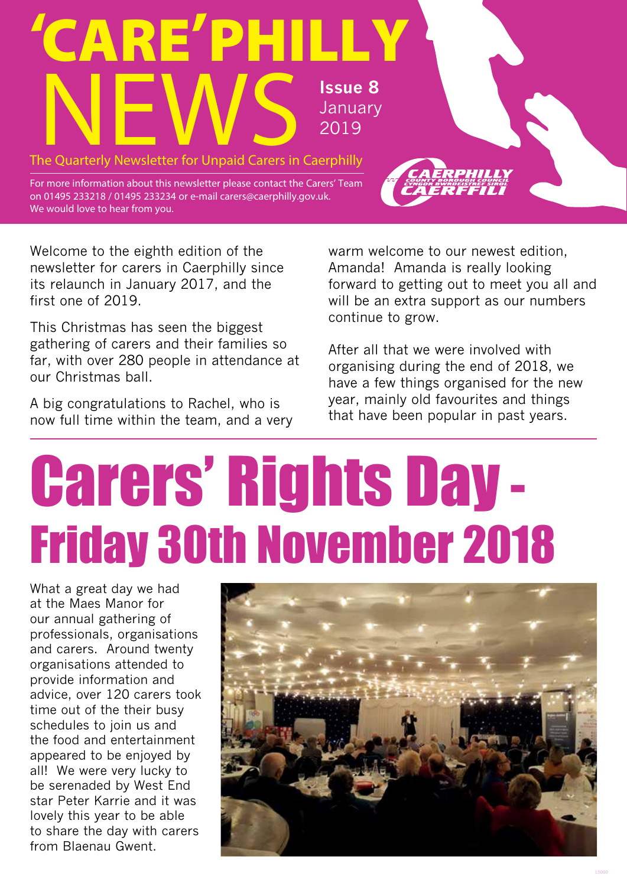

Welcome to the eighth edition of the newsletter for carers in Caerphilly since its relaunch in January 2017, and the first one of 2019.

This Christmas has seen the biggest gathering of carers and their families so far, with over 280 people in attendance at our Christmas ball.

A big congratulations to Rachel, who is now full time within the team, and a very warm welcome to our newest edition, Amanda! Amanda is really looking forward to getting out to meet you all and will be an extra support as our numbers continue to grow.

After all that we were involved with organising during the end of 2018, we have a few things organised for the new year, mainly old favourites and things that have been popular in past years.

# Carers' Rights Day - Friday 30th November 2018

What a great day we had at the Maes Manor for our annual gathering of professionals, organisations and carers. Around twenty organisations attended to provide information and advice, over 120 carers took time out of the their busy schedules to join us and the food and entertainment appeared to be enjoyed by all! We were very lucky to be serenaded by West End star Peter Karrie and it was lovely this year to be able to share the day with carers from Blaenau Gwent.

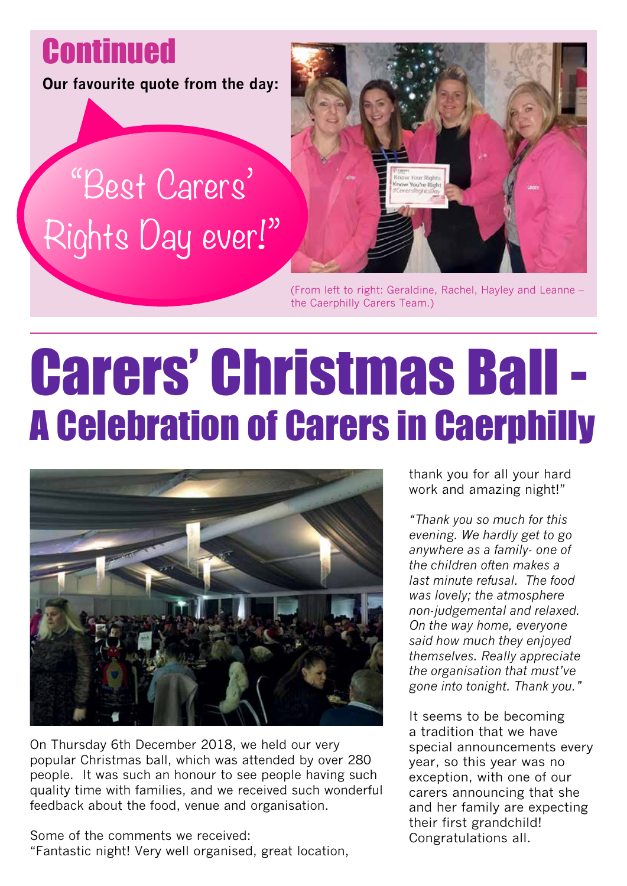**Continued** 

**Our favourite quote from the day:** 

### "Best Carers' Rights Day ever!"



(From left to right: Geraldine, Rachel, Hayley and Leanne – the Caerphilly Carers Team.)

### Carers' Christmas Ball - A Celebration of Carers in Caerphilly



On Thursday 6th December 2018, we held our very popular Christmas ball, which was attended by over 280 people. It was such an honour to see people having such quality time with families, and we received such wonderful feedback about the food, venue and organisation.

Some of the comments we received: "Fantastic night! Very well organised, great location, thank you for all your hard work and amazing night!"

*"Thank you so much for this evening. We hardly get to go anywhere as a family- one of the children often makes a last minute refusal. The food was lovely; the atmosphere non-judgemental and relaxed. On the way home, everyone said how much they enjoyed themselves. Really appreciate the organisation that must've gone into tonight. Thank you."*

It seems to be becoming a tradition that we have special announcements every year, so this year was no exception, with one of our carers announcing that she and her family are expecting their first grandchild! Congratulations all.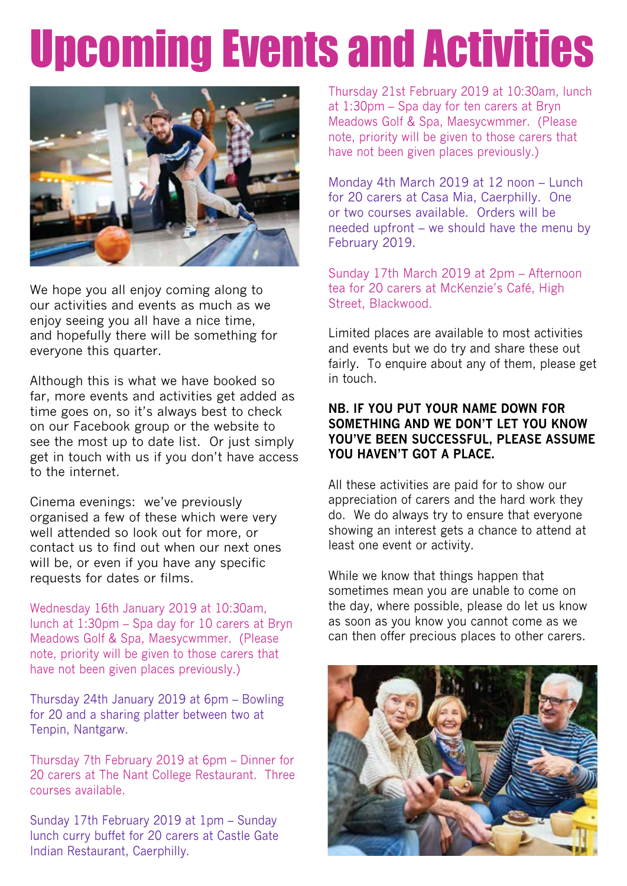### Upcoming Events and Activities



We hope you all enjoy coming along to our activities and events as much as we enjoy seeing you all have a nice time, and hopefully there will be something for everyone this quarter.

Although this is what we have booked so far, more events and activities get added as time goes on, so it's always best to check on our Facebook group or the website to see the most up to date list. Or just simply get in touch with us if you don't have access to the internet.

Cinema evenings: we've previously organised a few of these which were very well attended so look out for more, or contact us to find out when our next ones will be, or even if you have any specific requests for dates or films.

Wednesday 16th January 2019 at 10:30am, lunch at 1:30pm – Spa day for 10 carers at Bryn Meadows Golf & Spa, Maesycwmmer. (Please note, priority will be given to those carers that have not been given places previously.)

Thursday 24th January 2019 at 6pm – Bowling for 20 and a sharing platter between two at Tenpin, Nantgarw.

Thursday 7th February 2019 at 6pm – Dinner for 20 carers at The Nant College Restaurant. Three courses available.

Sunday 17th February 2019 at 1pm – Sunday lunch curry buffet for 20 carers at Castle Gate Indian Restaurant, Caerphilly.

Thursday 21st February 2019 at 10:30am, lunch at 1:30pm – Spa day for ten carers at Bryn Meadows Golf & Spa, Maesycwmmer. (Please note, priority will be given to those carers that have not been given places previously.)

Monday 4th March 2019 at 12 noon – Lunch for 20 carers at Casa Mia, Caerphilly. One or two courses available. Orders will be needed upfront – we should have the menu by February 2019.

Sunday 17th March 2019 at 2pm – Afternoon tea for 20 carers at McKenzie's Café, High Street, Blackwood.

Limited places are available to most activities and events but we do try and share these out fairly. To enquire about any of them, please get in touch.

### **NB. IF YOU PUT YOUR NAME DOWN FOR SOMETHING AND WE DON'T LET YOU KNOW YOU'VE BEEN SUCCESSFUL, PLEASE ASSUME YOU HAVEN'T GOT A PLACE.**

All these activities are paid for to show our appreciation of carers and the hard work they do. We do always try to ensure that everyone showing an interest gets a chance to attend at least one event or activity.

While we know that things happen that sometimes mean you are unable to come on the day, where possible, please do let us know as soon as you know you cannot come as we can then offer precious places to other carers.

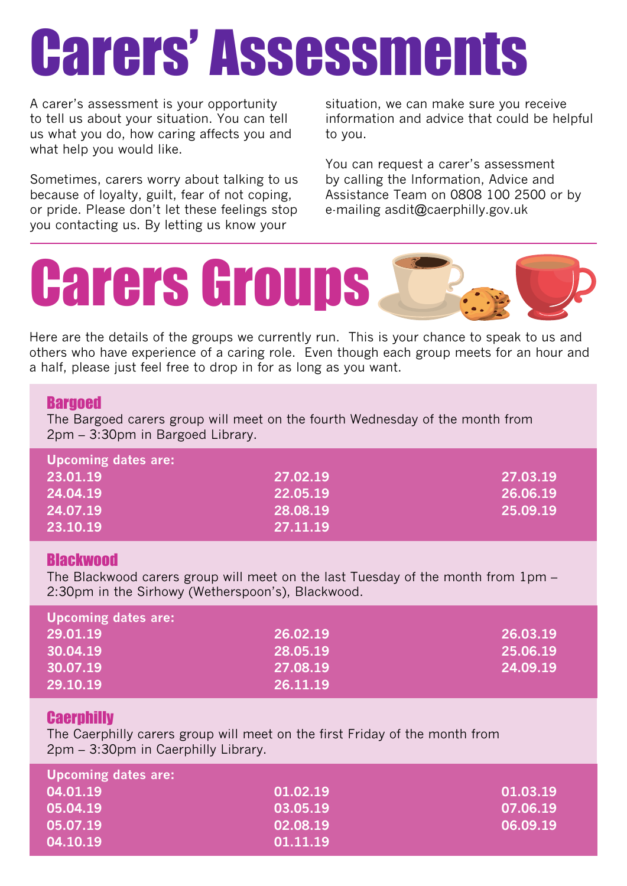# Carers' Assessments

A carer's assessment is your opportunity to tell us about your situation. You can tell us what you do, how caring affects you and what help you would like.

Sometimes, carers worry about talking to us because of loyalty, guilt, fear of not coping, or pride. Please don't let these feelings stop you contacting us. By letting us know your

situation, we can make sure you receive information and advice that could be helpful to you.

You can request a carer's assessment by calling the Information, Advice and Assistance Team on 0808 100 2500 or by e-mailing asdit@caerphilly.gov.uk



Here are the details of the groups we currently run. This is your chance to speak to us and others who have experience of a caring role. Even though each group meets for an hour and a half, please just feel free to drop in for as long as you want.

### **Bargoed**

The Bargoed carers group will meet on the fourth Wednesday of the month from 2pm – 3:30pm in Bargoed Library. i<br>I

| Upcoming dates are: |          |          |  |
|---------------------|----------|----------|--|
| 23.01.19            | 27.02.19 | 27.03.19 |  |
| 24.04.19            | 22.05.19 | 26.06.19 |  |
| 24.07.19            | 28.08.19 | 25.09.19 |  |
| 23.10.19            | 27.11.19 |          |  |

### **Blackwood**

The Blackwood carers group will meet on the last Tuesday of the month from 1pm – 2:30pm in the Sirhowy (Wetherspoon's), Blackwood.

| Upcoming dates are: |          |          |  |  |
|---------------------|----------|----------|--|--|
| 29.01.19            | 26.02.19 | 26.03.19 |  |  |
| 30.04.19            | 28.05.19 | 25.06.19 |  |  |
| 30.07.19            | 27.08.19 | 24.09.19 |  |  |
| 29.10.19            | 26.11.19 |          |  |  |

### **Caerphilly**

The Caerphilly carers group will meet on the first Friday of the month from 2pm – 3:30pm in Caerphilly Library.

| <b>Upcoming dates are:</b> |          |          |  |  |
|----------------------------|----------|----------|--|--|
| 04.01.19                   | 01.02.19 | 01.03.19 |  |  |
| 05.04.19                   | 03.05.19 | 07.06.19 |  |  |
| 05.07.19                   | 02.08.19 | 06.09.19 |  |  |
| 04.10.19                   | 01.11.19 |          |  |  |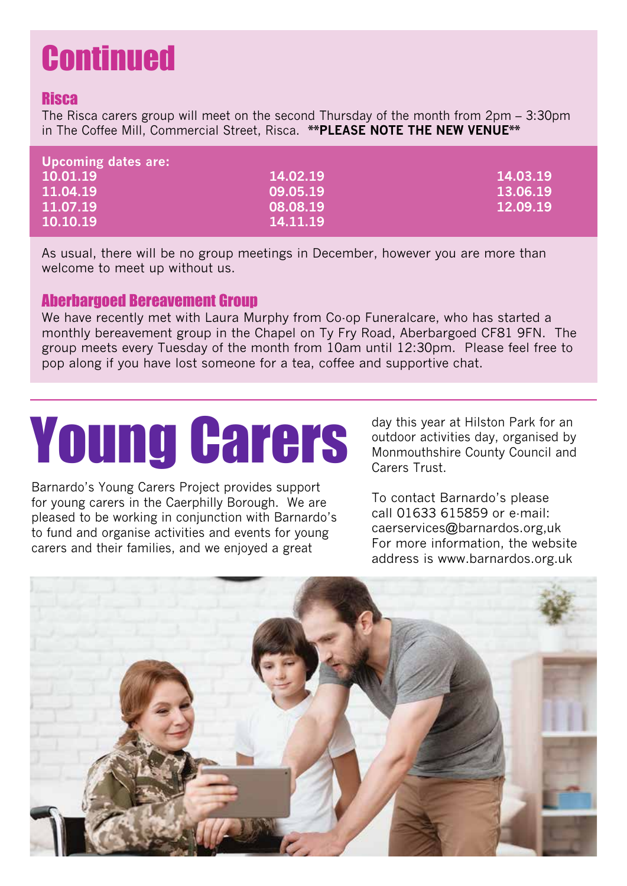### **Continued**

### **Risca**

The Risca carers group will meet on the second Thursday of the month from 2pm – 3:30pm in The Coffee Mill, Commercial Street, Risca. **\*\*PLEASE NOTE THE NEW VENUE\*\***

| <b>Upcoming dates are:</b> |          |          |
|----------------------------|----------|----------|
| 10.01.19                   | 14.02.19 | 14.03.19 |
| 11.04.19                   | 09.05.19 | 13.06.19 |
| 11.07.19                   | 08.08.19 | 12.09.19 |
| 10.10.19                   | 14.11.19 |          |

As usual, there will be no group meetings in December, however you are more than welcome to meet up without us.

### Aberbargoed Bereavement Group

We have recently met with Laura Murphy from Co-op Funeralcare, who has started a monthly bereavement group in the Chapel on Ty Fry Road, Aberbargoed CF81 9FN. The group meets every Tuesday of the month from 10am until 12:30pm. Please feel free to pop along if you have lost someone for a tea, coffee and supportive chat.

# Young Carers

Barnardo's Young Carers Project provides support for young carers in the Caerphilly Borough. We are pleased to be working in conjunction with Barnardo's to fund and organise activities and events for young carers and their families, and we enjoyed a great

day this year at Hilston Park for an outdoor activities day, organised by Monmouthshire County Council and Carers Trust.

To contact Barnardo's please call 01633 615859 or e-mail: caerservices@barnardos.org,uk For more information, the website address is www.barnardos.org.uk

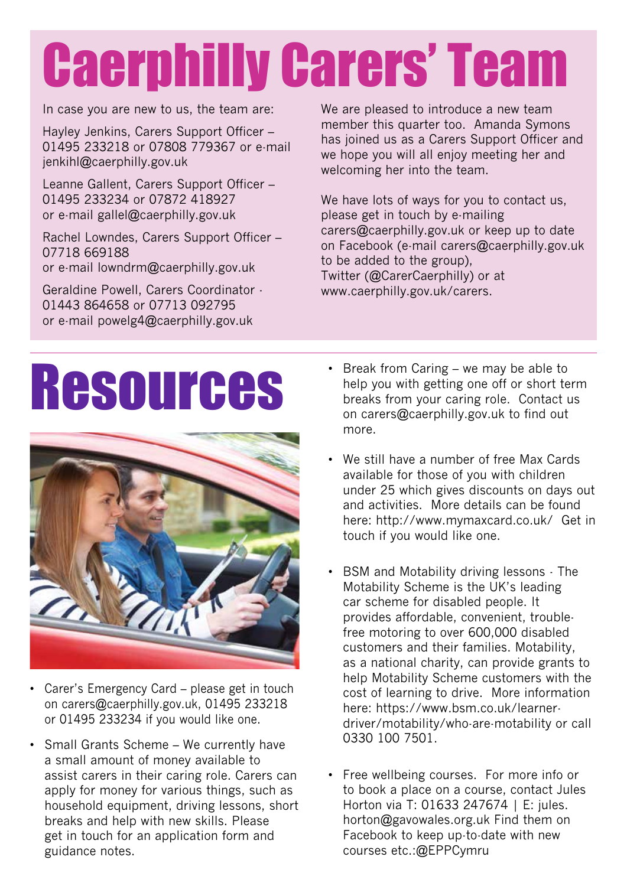# Caerphilly Carers' Team

In case you are new to us, the team are:

Hayley Jenkins, Carers Support Officer – 01495 233218 or 07808 779367 or e-mail jenkihl@caerphilly.gov.uk

Leanne Gallent, Carers Support Officer – 01495 233234 or 07872 418927 or e-mail gallel@caerphilly.gov.uk

Rachel Lowndes, Carers Support Officer – 07718 669188 or e-mail lowndrm@caerphilly.gov.uk

Geraldine Powell, Carers Coordinator - 01443 864658 or 07713 092795 or e-mail powelg4@caerphilly.gov.uk

We are pleased to introduce a new team member this quarter too. Amanda Symons has joined us as a Carers Support Officer and we hope you will all enjoy meeting her and welcoming her into the team.

We have lots of ways for you to contact us, please get in touch by e-mailing carers@caerphilly.gov.uk or keep up to date on Facebook (e-mail carers@caerphilly.gov.uk to be added to the group), Twitter (@CarerCaerphilly) or at www.caerphilly.gov.uk/carers.

## Resources



- Carer's Emergency Card please get in touch on carers@caerphilly.gov.uk, 01495 233218 or 01495 233234 if you would like one.
- Small Grants Scheme We currently have a small amount of money available to assist carers in their caring role. Carers can apply for money for various things, such as household equipment, driving lessons, short breaks and help with new skills. Please get in touch for an application form and guidance notes.
- Break from Caring we may be able to help you with getting one off or short term breaks from your caring role. Contact us on carers@caerphilly.gov.uk to find out more.
- We still have a number of free Max Cards available for those of you with children under 25 which gives discounts on days out and activities. More details can be found here: http://www.mymaxcard.co.uk/ Get in touch if you would like one.
- BSM and Motability driving lessons The Motability Scheme is the UK's leading car scheme for disabled people. It provides affordable, convenient, troublefree motoring to over 600,000 disabled customers and their families. Motability, as a national charity, can provide grants to help Motability Scheme customers with the cost of learning to drive. More information here: https://www.bsm.co.uk/learnerdriver/motability/who-are-motability or call 0330 100 7501.
- Free wellbeing courses. For more info or to book a place on a course, contact Jules Horton via T: 01633 247674 | E: jules. horton@gavowales.org.uk Find them on Facebook to keep up-to-date with new courses etc.:@EPPCymru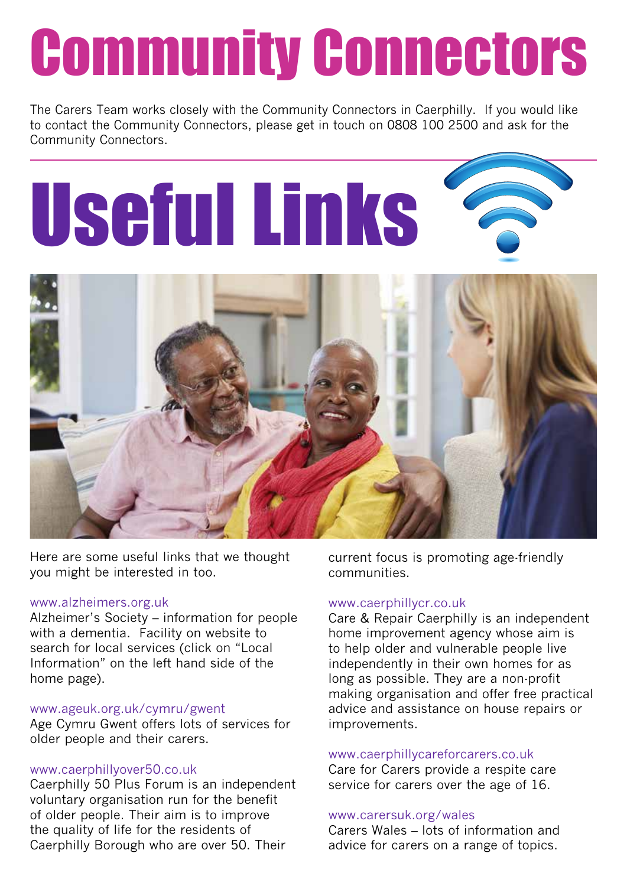# Community Connectors

The Carers Team works closely with the Community Connectors in Caerphilly. If you would like to contact the Community Connectors, please get in touch on 0808 100 2500 and ask for the Community Connectors.





Here are some useful links that we thought you might be interested in too.

### www.alzheimers.org.uk

Alzheimer's Society – information for people with a dementia. Facility on website to search for local services (click on "Local Information" on the left hand side of the home page).

### www.ageuk.org.uk/cymru/gwent

Age Cymru Gwent offers lots of services for older people and their carers.

#### www.caerphillyover50.co.uk

Caerphilly 50 Plus Forum is an independent voluntary organisation run for the benefit of older people. Their aim is to improve the quality of life for the residents of Caerphilly Borough who are over 50. Their

current focus is promoting age-friendly communities.

#### www.caerphillycr.co.uk

Care & Repair Caerphilly is an independent home improvement agency whose aim is to help older and vulnerable people live independently in their own homes for as long as possible. They are a non-profit making organisation and offer free practical advice and assistance on house repairs or improvements.

### www.caerphillycareforcarers.co.uk

Care for Carers provide a respite care service for carers over the age of 16.

### www.carersuk.org/wales

Carers Wales – lots of information and advice for carers on a range of topics.